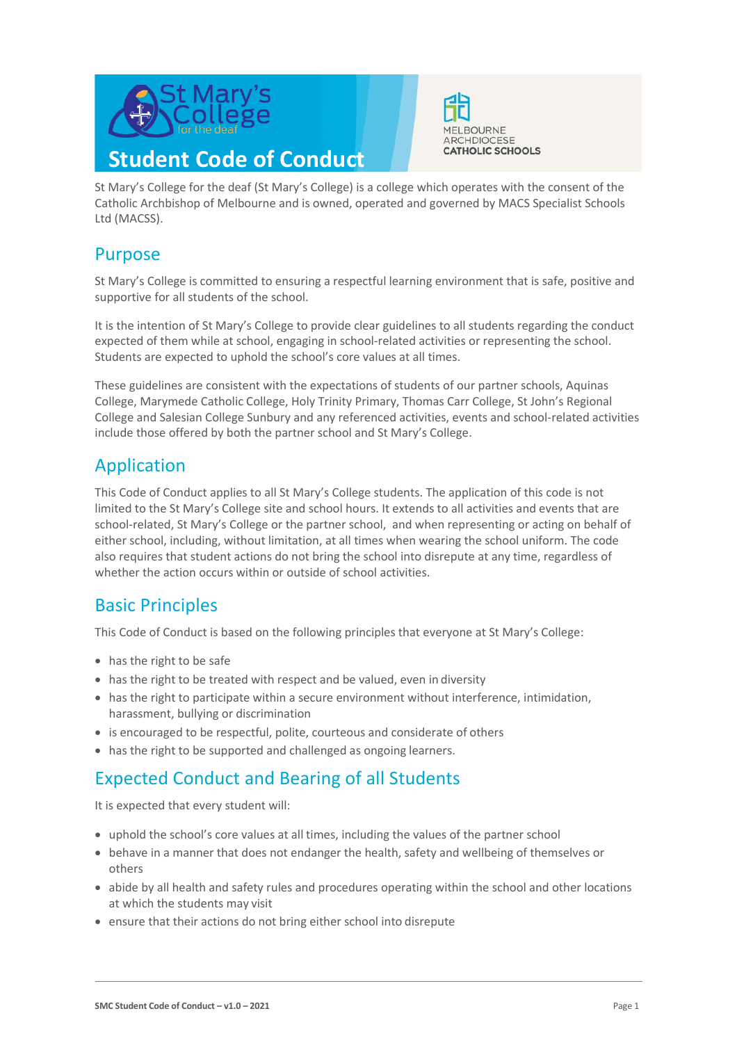



St Mary's College for the deaf (St Mary's College) is a college which operates with the consent of the Catholic Archbishop of Melbourne and is owned, operated and governed by MACS Specialist Schools Ltd (MACSS).

#### Purpose

St Mary's College is committed to ensuring a respectful learning environment that is safe, positive and supportive for all students of the school.

It is the intention of St Mary's College to provide clear guidelines to all students regarding the conduct expected of them while at school, engaging in school-related activities or representing the school. Students are expected to uphold the school's core values at all times.

These guidelines are consistent with the expectations of students of our partner schools, Aquinas College, Marymede Catholic College, Holy Trinity Primary, Thomas Carr College, St John's Regional College and Salesian College Sunbury and any referenced activities, events and school-related activities include those offered by both the partner school and St Mary's College.

## Application

This Code of Conduct applies to all St Mary's College students. The application of this code is not limited to the St Mary's College site and school hours. It extends to all activities and events that are school-related, St Mary's College or the partner school, and when representing or acting on behalf of either school, including, without limitation, at all times when wearing the school uniform. The code also requires that student actions do not bring the school into disrepute at any time, regardless of whether the action occurs within or outside of school activities.

#### Basic Principles

This Code of Conduct is based on the following principles that everyone at St Mary's College:

- has the right to be safe
- has the right to be treated with respect and be valued, even in diversity
- has the right to participate within a secure environment without interference, intimidation, harassment, bullying or discrimination
- is encouraged to be respectful, polite, courteous and considerate of others
- has the right to be supported and challenged as ongoing learners.

## Expected Conduct and Bearing of all Students

It is expected that every student will:

- uphold the school's core values at all times, including the values of the partner school
- behave in a manner that does not endanger the health, safety and wellbeing of themselves or others
- abide by all health and safety rules and procedures operating within the school and other locations at which the students may visit
- ensure that their actions do not bring either school into disrepute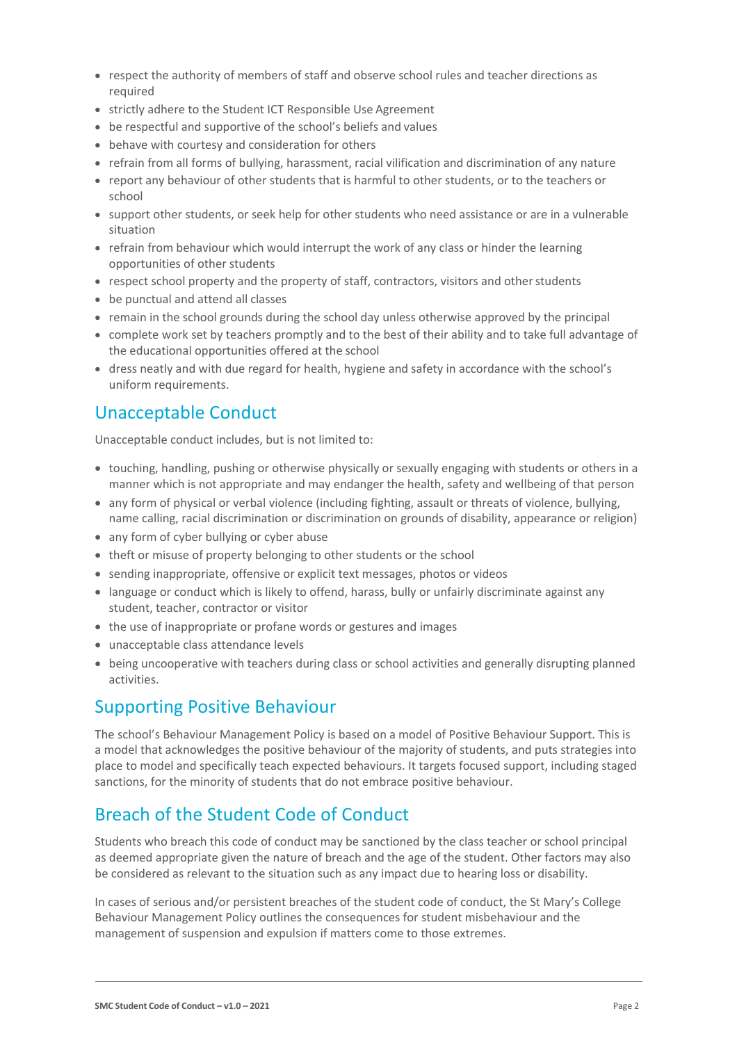- respect the authority of members of staff and observe school rules and teacher directions as required
- strictly adhere to the Student ICT Responsible Use Agreement
- be respectful and supportive of the school's beliefs and values
- behave with courtesy and consideration for others
- refrain from all forms of bullying, harassment, racial vilification and discrimination of any nature
- report any behaviour of other students that is harmful to other students, or to the teachers or school
- support other students, or seek help for other students who need assistance or are in a vulnerable situation
- refrain from behaviour which would interrupt the work of any class or hinder the learning opportunities of other students
- respect school property and the property of staff, contractors, visitors and other students
- be punctual and attend all classes
- remain in the school grounds during the school day unless otherwise approved by the principal
- complete work set by teachers promptly and to the best of their ability and to take full advantage of the educational opportunities offered at the school
- dress neatly and with due regard for health, hygiene and safety in accordance with the school's uniform requirements.

## Unacceptable Conduct

Unacceptable conduct includes, but is not limited to:

- touching, handling, pushing or otherwise physically or sexually engaging with students or others in a manner which is not appropriate and may endanger the health, safety and wellbeing of that person
- any form of physical or verbal violence (including fighting, assault or threats of violence, bullying, name calling, racial discrimination or discrimination on grounds of disability, appearance or religion)
- any form of cyber bullying or cyber abuse
- theft or misuse of property belonging to other students or the school
- sending inappropriate, offensive or explicit text messages, photos or videos
- language or conduct which is likely to offend, harass, bully or unfairly discriminate against any student, teacher, contractor or visitor
- the use of inappropriate or profane words or gestures and images
- unacceptable class attendance levels
- being uncooperative with teachers during class or school activities and generally disrupting planned activities.

## Supporting Positive Behaviour

The school's Behaviour Management Policy is based on a model of Positive Behaviour Support. This is a model that acknowledges the positive behaviour of the majority of students, and puts strategies into place to model and specifically teach expected behaviours. It targets focused support, including staged sanctions, for the minority of students that do not embrace positive behaviour.

# Breach of the Student Code of Conduct

Students who breach this code of conduct may be sanctioned by the class teacher or school principal as deemed appropriate given the nature of breach and the age of the student. Other factors may also be considered as relevant to the situation such as any impact due to hearing loss or disability.

In cases of serious and/or persistent breaches of the student code of conduct, the St Mary's College Behaviour Management Policy outlines the consequences for student misbehaviour and the management of suspension and expulsion if matters come to those extremes.